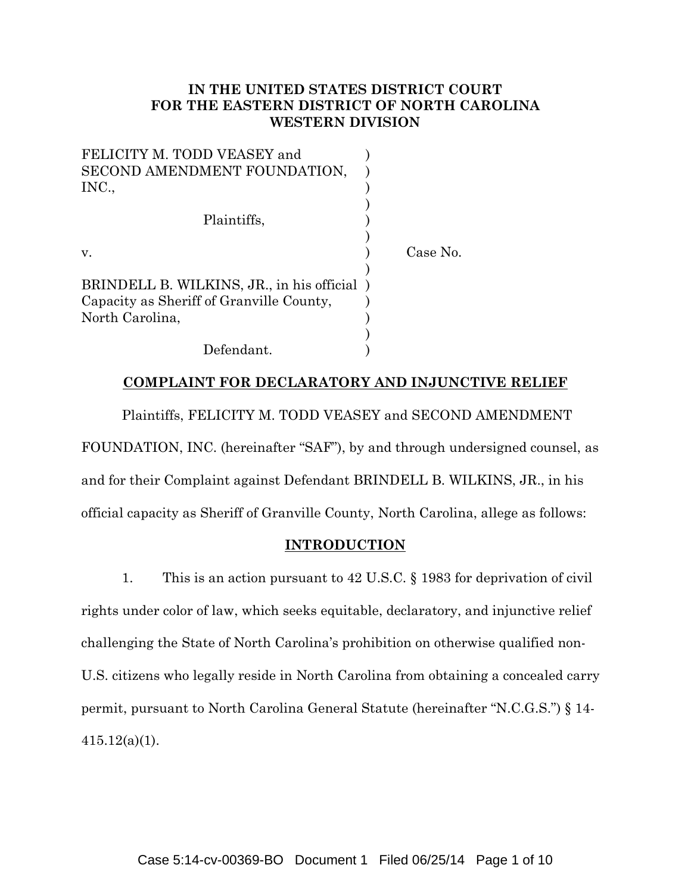# **IN THE UNITED STATES DISTRICT COURT FOR THE EASTERN DISTRICT OF NORTH CAROLINA WESTERN DIVISION**

| FELICITY M. TODD VEASEY and                |          |  |
|--------------------------------------------|----------|--|
| SECOND AMENDMENT FOUNDATION,               |          |  |
| INC.,                                      |          |  |
|                                            |          |  |
| Plaintiffs,                                |          |  |
|                                            |          |  |
| V.                                         | Case No. |  |
|                                            |          |  |
| BRINDELL B. WILKINS, JR., in his official) |          |  |
| Capacity as Sheriff of Granville County,   |          |  |
| North Carolina,                            |          |  |
|                                            |          |  |
| Defendant.                                 |          |  |

## **COMPLAINT FOR DECLARATORY AND INJUNCTIVE RELIEF**

Plaintiffs, FELICITY M. TODD VEASEY and SECOND AMENDMENT FOUNDATION, INC. (hereinafter "SAF"), by and through undersigned counsel, as and for their Complaint against Defendant BRINDELL B. WILKINS, JR., in his official capacity as Sheriff of Granville County, North Carolina, allege as follows:

### **INTRODUCTION**

1. This is an action pursuant to 42 U.S.C. § 1983 for deprivation of civil rights under color of law, which seeks equitable, declaratory, and injunctive relief challenging the State of North Carolina's prohibition on otherwise qualified non-U.S. citizens who legally reside in North Carolina from obtaining a concealed carry permit, pursuant to North Carolina General Statute (hereinafter "N.C.G.S.") § 14- 415.12(a)(1).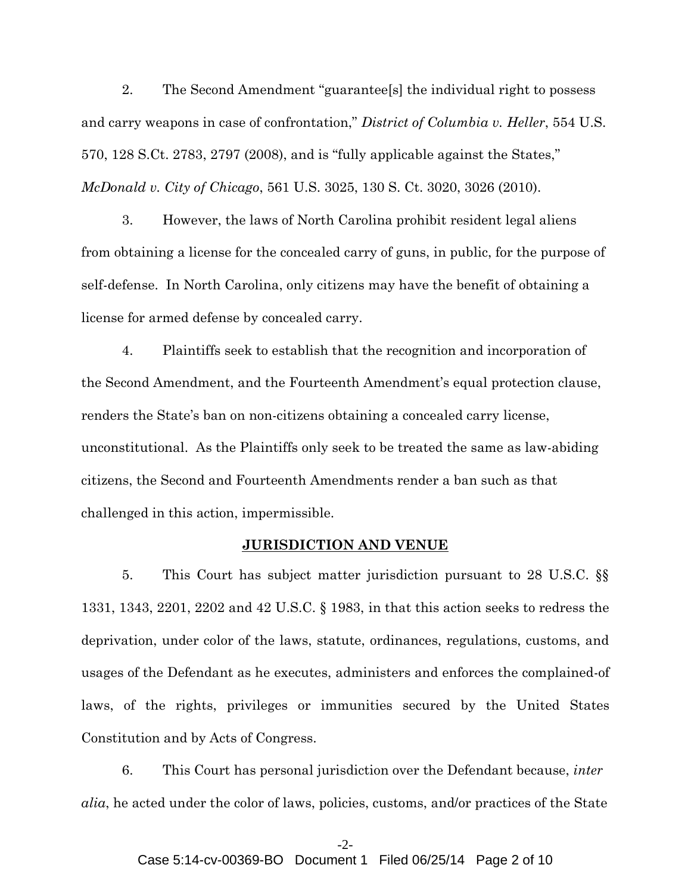2. The Second Amendment "guarantee[s] the individual right to possess and carry weapons in case of confrontation," *District of Columbia v. Heller*, 554 U.S. 570, 128 S.Ct. 2783, 2797 (2008), and is "fully applicable against the States," *McDonald v. City of Chicago*, 561 U.S. 3025, 130 S. Ct. 3020, 3026 (2010).

3. However, the laws of North Carolina prohibit resident legal aliens from obtaining a license for the concealed carry of guns, in public, for the purpose of self-defense. In North Carolina, only citizens may have the benefit of obtaining a license for armed defense by concealed carry.

4. Plaintiffs seek to establish that the recognition and incorporation of the Second Amendment, and the Fourteenth Amendment's equal protection clause, renders the State's ban on non-citizens obtaining a concealed carry license, unconstitutional. As the Plaintiffs only seek to be treated the same as law-abiding citizens, the Second and Fourteenth Amendments render a ban such as that challenged in this action, impermissible.

## **JURISDICTION AND VENUE**

5. This Court has subject matter jurisdiction pursuant to 28 U.S.C. §§ 1331, 1343, 2201, 2202 and 42 U.S.C. § 1983, in that this action seeks to redress the deprivation, under color of the laws, statute, ordinances, regulations, customs, and usages of the Defendant as he executes, administers and enforces the complained-of laws, of the rights, privileges or immunities secured by the United States Constitution and by Acts of Congress.

6. This Court has personal jurisdiction over the Defendant because, *inter alia*, he acted under the color of laws, policies, customs, and/or practices of the State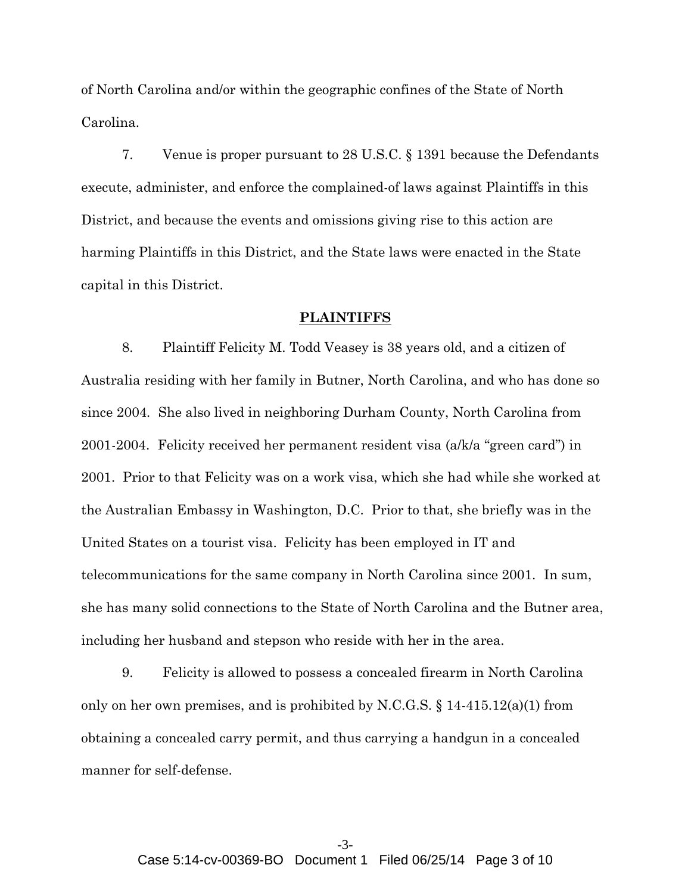of North Carolina and/or within the geographic confines of the State of North Carolina.

7. Venue is proper pursuant to 28 U.S.C. § 1391 because the Defendants execute, administer, and enforce the complained-of laws against Plaintiffs in this District, and because the events and omissions giving rise to this action are harming Plaintiffs in this District, and the State laws were enacted in the State capital in this District.

### **PLAINTIFFS**

8. Plaintiff Felicity M. Todd Veasey is 38 years old, and a citizen of Australia residing with her family in Butner, North Carolina, and who has done so since 2004*.* She also lived in neighboring Durham County, North Carolina from 2001-2004.Felicity received her permanent resident visa (a/k/a "green card") in 2001. Prior to that Felicity was on a work visa, which she had while she worked at the Australian Embassy in Washington, D.C. Prior to that, she briefly was in the United States on a tourist visa. Felicity has been employed in IT and telecommunications for the same company in North Carolina since 2001.In sum, she has many solid connections to the State of North Carolina and the Butner area, including her husband and stepson who reside with her in the area.

9. Felicity is allowed to possess a concealed firearm in North Carolina only on her own premises, and is prohibited by N.C.G.S.  $\S$  14-415.12(a)(1) from obtaining a concealed carry permit, and thus carrying a handgun in a concealed manner for self-defense.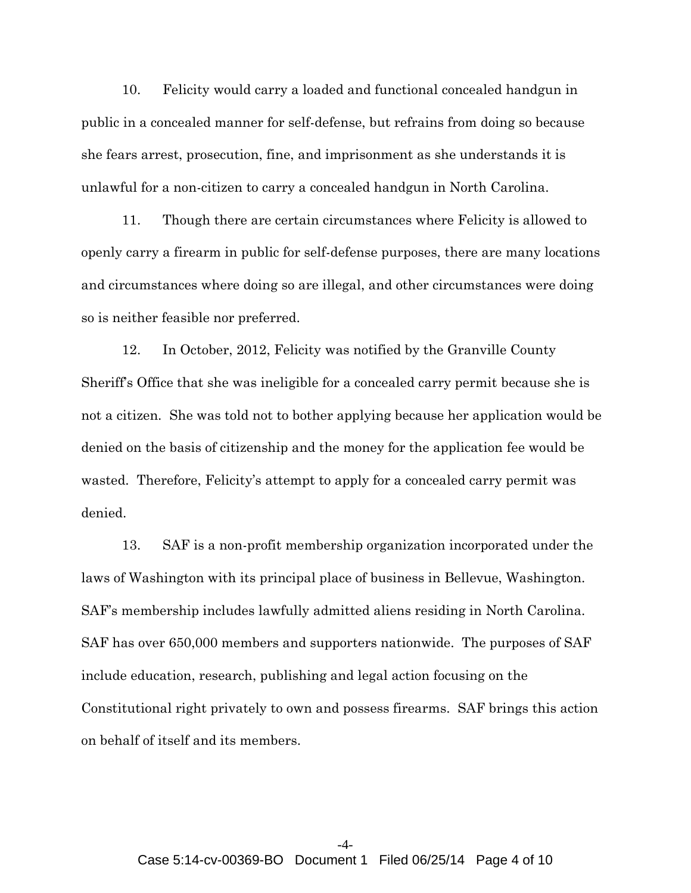10. Felicity would carry a loaded and functional concealed handgun in public in a concealed manner for self-defense, but refrains from doing so because she fears arrest, prosecution, fine, and imprisonment as she understands it is unlawful for a non-citizen to carry a concealed handgun in North Carolina.

11. Though there are certain circumstances where Felicity is allowed to openly carry a firearm in public for self-defense purposes, there are many locations and circumstances where doing so are illegal, and other circumstances were doing so is neither feasible nor preferred.

12. In October, 2012, Felicity was notified by the Granville County Sheriff's Office that she was ineligible for a concealed carry permit because she is not a citizen. She was told not to bother applying because her application would be denied on the basis of citizenship and the money for the application fee would be wasted. Therefore, Felicity's attempt to apply for a concealed carry permit was denied.

13. SAF is a non-profit membership organization incorporated under the laws of Washington with its principal place of business in Bellevue, Washington. SAF's membership includes lawfully admitted aliens residing in North Carolina. SAF has over 650,000 members and supporters nationwide. The purposes of SAF include education, research, publishing and legal action focusing on the Constitutional right privately to own and possess firearms. SAF brings this action on behalf of itself and its members.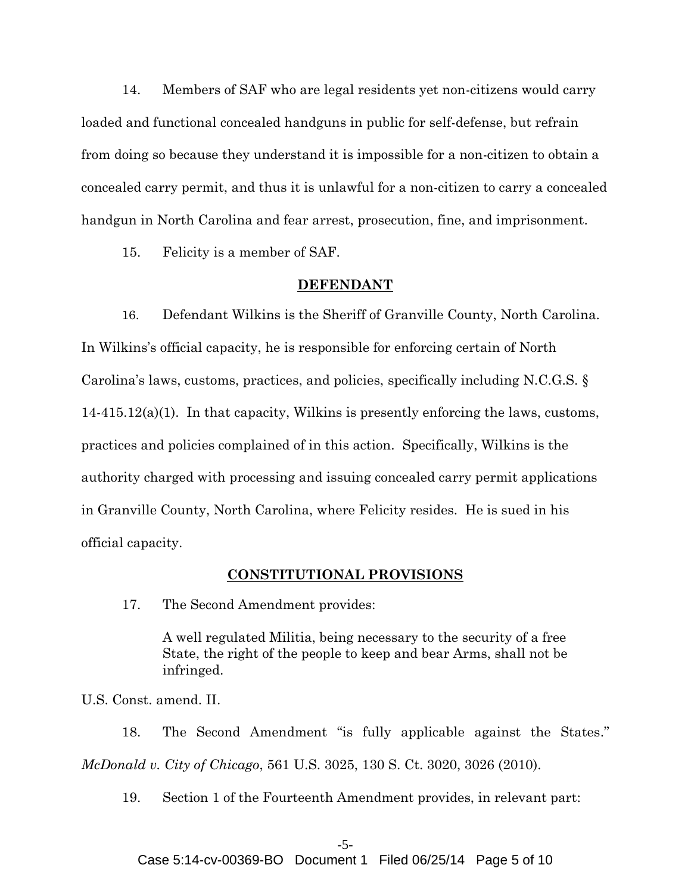14. Members of SAF who are legal residents yet non-citizens would carry loaded and functional concealed handguns in public for self-defense, but refrain from doing so because they understand it is impossible for a non-citizen to obtain a concealed carry permit, and thus it is unlawful for a non-citizen to carry a concealed handgun in North Carolina and fear arrest, prosecution, fine, and imprisonment.

15. Felicity is a member of SAF.

### **DEFENDANT**

16. Defendant Wilkins is the Sheriff of Granville County, North Carolina. In Wilkins's official capacity, he is responsible for enforcing certain of North Carolina's laws, customs, practices, and policies, specifically including N.C.G.S. § 14-415.12(a)(1). In that capacity, Wilkins is presently enforcing the laws, customs, practices and policies complained of in this action. Specifically, Wilkins is the authority charged with processing and issuing concealed carry permit applications in Granville County, North Carolina, where Felicity resides. He is sued in his official capacity.

#### **CONSTITUTIONAL PROVISIONS**

17. The Second Amendment provides:

A well regulated Militia, being necessary to the security of a free State, the right of the people to keep and bear Arms, shall not be infringed.

U.S. Const. amend. II.

18. The Second Amendment "is fully applicable against the States." *McDonald v. City of Chicago*, 561 U.S. 3025, 130 S. Ct. 3020, 3026 (2010).

19. Section 1 of the Fourteenth Amendment provides, in relevant part:

## -5-

Case 5:14-cv-00369-BO Document 1 Filed 06/25/14 Page 5 of 10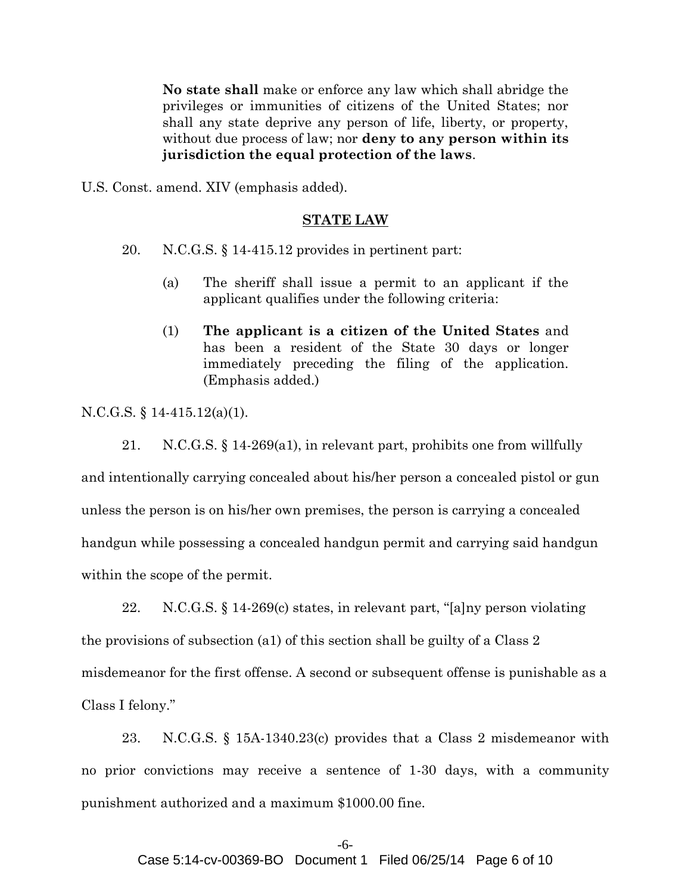**No state shall** make or enforce any law which shall abridge the privileges or immunities of citizens of the United States; nor shall any state deprive any person of life, liberty, or property, without due process of law; nor **deny to any person within its jurisdiction the equal protection of the laws**.

U.S. Const. amend. XIV (emphasis added).

#### **STATE LAW**

20. N.C.G.S. § 14-415.12 provides in pertinent part:

- (a) The sheriff shall issue a permit to an applicant if the applicant qualifies under the following criteria:
- (1) **The applicant is a citizen of the United States** and has been a resident of the State 30 days or longer immediately preceding the filing of the application. (Emphasis added.)

N.C.G.S. § 14-415.12(a)(1).

21. N.C.G.S. § 14-269(a1), in relevant part, prohibits one from willfully and intentionally carrying concealed about his/her person a concealed pistol or gun unless the person is on his/her own premises, the person is carrying a concealed handgun while possessing a concealed handgun permit and carrying said handgun within the scope of the permit.

22. N.C.G.S. § 14-269(c) states, in relevant part, "[a]ny person violating the provisions of subsection (a1) of this section shall be guilty of a Class 2 misdemeanor for the first offense. A second or subsequent offense is punishable as a Class I felony."

23. N.C.G.S. § 15A-1340.23(c) provides that a Class 2 misdemeanor with no prior convictions may receive a sentence of 1-30 days, with a community punishment authorized and a maximum \$1000.00 fine.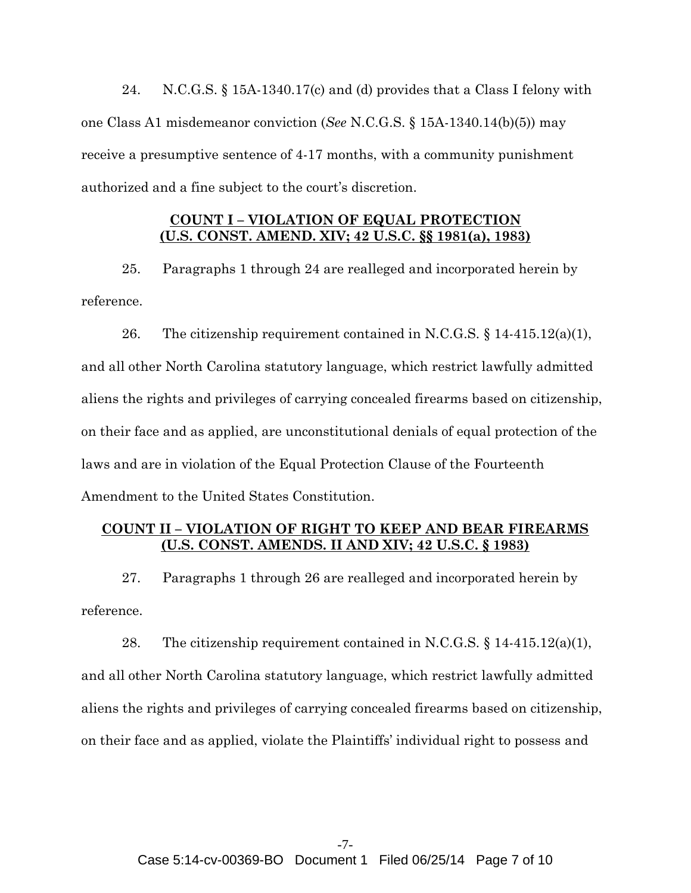24. N.C.G.S. § 15A-1340.17(c) and (d) provides that a Class I felony with one Class A1 misdemeanor conviction (*See* N.C.G.S. § 15A-1340.14(b)(5)) may receive a presumptive sentence of 4-17 months, with a community punishment authorized and a fine subject to the court's discretion.

## **COUNT I – VIOLATION OF EQUAL PROTECTION (U.S. CONST. AMEND. XIV; 42 U.S.C. §§ 1981(a), 1983)**

25. Paragraphs 1 through 24 are realleged and incorporated herein by reference.

26. The citizenship requirement contained in N.C.G.S.  $\S$  14-415.12(a)(1), and all other North Carolina statutory language, which restrict lawfully admitted aliens the rights and privileges of carrying concealed firearms based on citizenship, on their face and as applied, are unconstitutional denials of equal protection of the laws and are in violation of the Equal Protection Clause of the Fourteenth Amendment to the United States Constitution.

# **COUNT II – VIOLATION OF RIGHT TO KEEP AND BEAR FIREARMS (U.S. CONST. AMENDS. II AND XIV; 42 U.S.C. § 1983)**

27. Paragraphs 1 through 26 are realleged and incorporated herein by reference.

28. The citizenship requirement contained in N.C.G.S.  $\S 14-415.12(a)(1)$ , and all other North Carolina statutory language, which restrict lawfully admitted aliens the rights and privileges of carrying concealed firearms based on citizenship, on their face and as applied, violate the Plaintiffs' individual right to possess and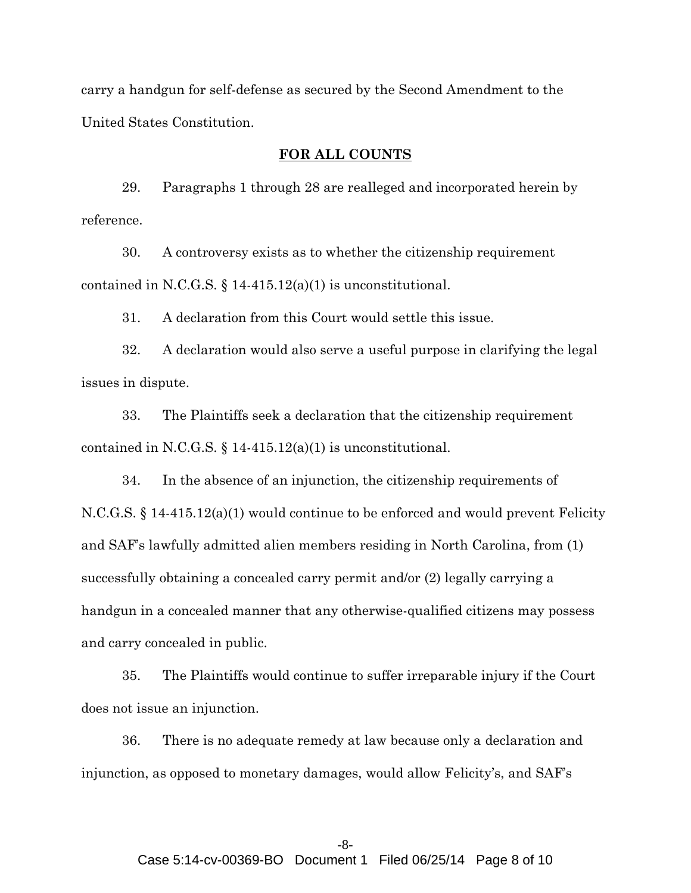carry a handgun for self-defense as secured by the Second Amendment to the United States Constitution.

## **FOR ALL COUNTS**

29. Paragraphs 1 through 28 are realleged and incorporated herein by reference.

30. A controversy exists as to whether the citizenship requirement contained in N.C.G.S.  $\S$  14-415.12(a)(1) is unconstitutional.

31. A declaration from this Court would settle this issue.

32. A declaration would also serve a useful purpose in clarifying the legal issues in dispute.

33. The Plaintiffs seek a declaration that the citizenship requirement contained in N.C.G.S.  $\S$  14-415.12(a)(1) is unconstitutional.

34. In the absence of an injunction, the citizenship requirements of N.C.G.S. § 14-415.12(a)(1) would continue to be enforced and would prevent Felicity and SAF's lawfully admitted alien members residing in North Carolina, from (1) successfully obtaining a concealed carry permit and/or (2) legally carrying a handgun in a concealed manner that any otherwise-qualified citizens may possess and carry concealed in public.

35. The Plaintiffs would continue to suffer irreparable injury if the Court does not issue an injunction.

36. There is no adequate remedy at law because only a declaration and injunction, as opposed to monetary damages, would allow Felicity's, and SAF's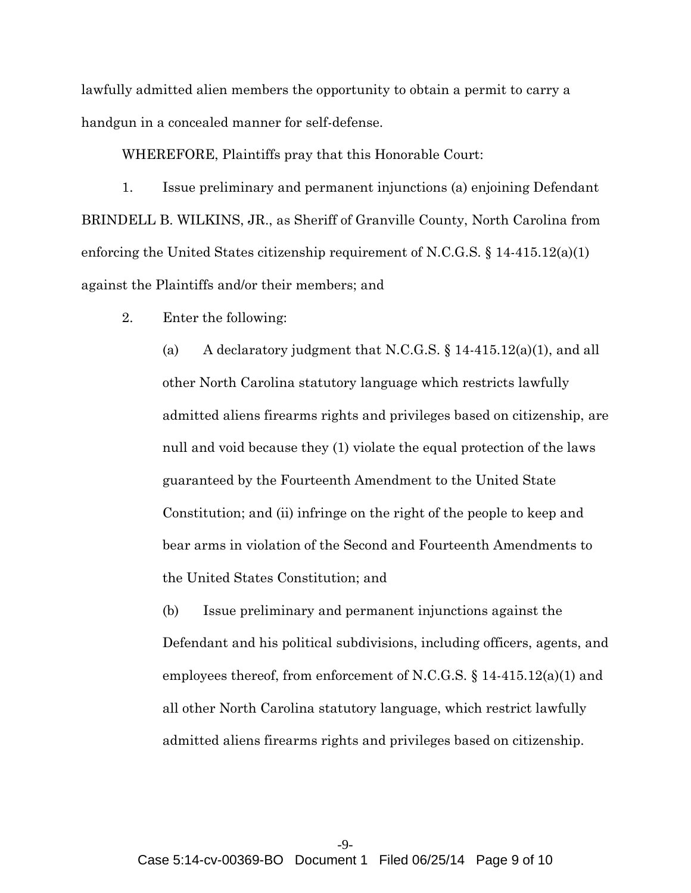lawfully admitted alien members the opportunity to obtain a permit to carry a handgun in a concealed manner for self-defense.

WHEREFORE, Plaintiffs pray that this Honorable Court:

1. Issue preliminary and permanent injunctions (a) enjoining Defendant BRINDELL B. WILKINS, JR., as Sheriff of Granville County, North Carolina from enforcing the United States citizenship requirement of N.C.G.S. § 14-415.12(a)(1) against the Plaintiffs and/or their members; and

2. Enter the following:

(a) A declaratory judgment that N.C.G.S.  $\S$  14-415.12(a)(1), and all other North Carolina statutory language which restricts lawfully admitted aliens firearms rights and privileges based on citizenship, are null and void because they (1) violate the equal protection of the laws guaranteed by the Fourteenth Amendment to the United State Constitution; and (ii) infringe on the right of the people to keep and bear arms in violation of the Second and Fourteenth Amendments to the United States Constitution; and

(b) Issue preliminary and permanent injunctions against the Defendant and his political subdivisions, including officers, agents, and employees thereof, from enforcement of N.C.G.S. § 14-415.12(a)(1) and all other North Carolina statutory language, which restrict lawfully admitted aliens firearms rights and privileges based on citizenship.